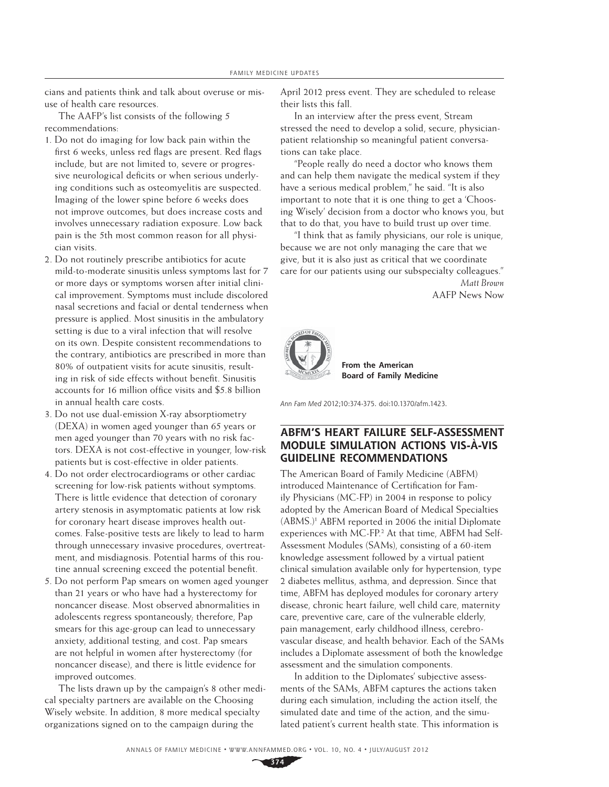cians and patients think and talk about overuse or misuse of health care resources.

The AAFP's list consists of the following 5 recommendations:

- 1. Do not do imaging for low back pain within the first 6 weeks, unless red flags are present. Red flags include, but are not limited to, severe or progressive neurological deficits or when serious underlying conditions such as osteomyelitis are suspected. Imaging of the lower spine before 6 weeks does not improve outcomes, but does increase costs and involves unnecessary radiation exposure. Low back pain is the 5th most common reason for all physician visits.
- 2. Do not routinely prescribe antibiotics for acute mild-to-moderate sinusitis unless symptoms last for 7 or more days or symptoms worsen after initial clinical improvement. Symptoms must include discolored nasal secretions and facial or dental tenderness when pressure is applied. Most sinusitis in the ambulatory setting is due to a viral infection that will resolve on its own. Despite consistent recommendations to the contrary, antibiotics are prescribed in more than 80% of outpatient visits for acute sinusitis, resulting in risk of side effects without benefit. Sinusitis accounts for 16 million office visits and \$5.8 billion in annual health care costs.
- 3. Do not use dual-emission X-ray absorptiometry (DEXA) in women aged younger than 65 years or men aged younger than 70 years with no risk factors. DEXA is not cost-effective in younger, low-risk patients but is cost-effective in older patients.
- 4. Do not order electrocardiograms or other cardiac screening for low-risk patients without symptoms. There is little evidence that detection of coronary artery stenosis in asymptomatic patients at low risk for coronary heart disease improves health outcomes. False-positive tests are likely to lead to harm through unnecessary invasive procedures, overtreatment, and misdiagnosis. Potential harms of this routine annual screening exceed the potential benefit.
- 5. Do not perform Pap smears on women aged younger than 21 years or who have had a hysterectomy for noncancer disease. Most observed abnormalities in adolescents regress spontaneously; therefore, Pap smears for this age-group can lead to unnecessary anxiety, additional testing, and cost. Pap smears are not helpful in women after hysterectomy (for noncancer disease), and there is little evidence for improved outcomes.

The lists drawn up by the campaign's 8 other medical specialty partners are available on the Choosing Wisely website. In addition, 8 more medical specialty organizations signed on to the campaign during the

April 2012 press event. They are scheduled to release their lists this fall.

In an interview after the press event, Stream stressed the need to develop a solid, secure, physicianpatient relationship so meaningful patient conversations can take place.

"People really do need a doctor who knows them and can help them navigate the medical system if they have a serious medical problem," he said. "It is also important to note that it is one thing to get a 'Choosing Wisely' decision from a doctor who knows you, but that to do that, you have to build trust up over time.

"I think that as family physicians, our role is unique, because we are not only managing the care that we give, but it is also just as critical that we coordinate care for our patients using our subspecialty colleagues."

> *Matt Brown* AAFP News Now



 **Board of Family Medicine From the American** 

Ann Fam Med 2012;10:374-375. doi:10.1370/afm.1423.

## **ABFM'S HEART FAILURE SELF-ASSESSMENT MODULE SIMULATION ACTIONS VIS-À-VIS GUIDELINE RECOMMENDATIONS**

The American Board of Family Medicine (ABFM) introduced Maintenance of Certification for Family Physicians (MC-FP) in 2004 in response to policy adopted by the American Board of Medical Specialties (ABMS.)1 ABFM reported in 2006 the initial Diplomate experiences with MC-FP.<sup>2</sup> At that time, ABFM had Self-Assessment Modules (SAMs), consisting of a 60-item knowledge assessment followed by a virtual patient clinical simulation available only for hypertension, type 2 diabetes mellitus, asthma, and depression. Since that time, ABFM has deployed modules for coronary artery disease, chronic heart failure, well child care, maternity care, preventive care, care of the vulnerable elderly, pain management, early childhood illness, cerebrovascular disease, and health behavior. Each of the SAMs includes a Diplomate assessment of both the knowledge assessment and the simulation components.

In addition to the Diplomates' subjective assessments of the SAMs, ABFM captures the actions taken during each simulation, including the action itself, the simulated date and time of the action, and the simulated patient's current health state. This information is